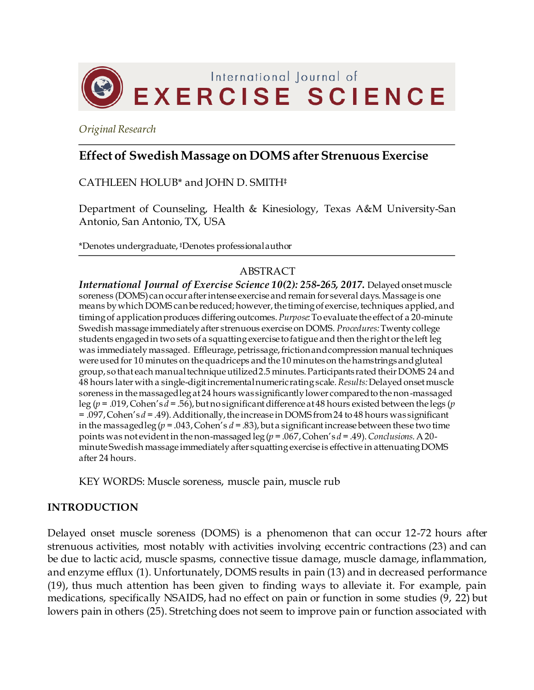

*Original Research*

# **Effect of Swedish Massage on DOMS after Strenuous Exercise**

CATHLEEN HOLUB\* and JOHN D. SMITH‡

Department of Counseling, Health & Kinesiology, Texas A&M University-San Antonio, San Antonio, TX, USA

\*Denotes undergraduate, ‡Denotes professional author

# ABSTRACT

*International Journal of Exercise Science 10(2): 258-265, 2017.* Delayed onset muscle soreness (DOMS) can occur after intense exercise and remain for several days. Massage is one means by which DOMS can be reduced; however, the timing of exercise, techniques applied, and timing of application produces differing outcomes. *Purpose:* To evaluate the effect of a 20-minute Swedish massage immediately after strenuous exercise on DOMS. *Procedures:*Twenty college students engaged in two sets of a squatting exercise to fatigue and then the right or the left leg was immediately massaged. Effleurage, petrissage, friction and compression manual techniques were used for 10 minutes on the quadriceps and the 10 minutes on the hamstrings and gluteal group, so that each manual technique utilized 2.5 minutes. Participants rated their DOMS 24 and 48 hours later with a single-digit incremental numeric rating scale*.Results:*Delayed onset muscle soreness in the massaged leg at 24 hours was significantly lower compared to the non-massaged leg (*p* = .019, Cohen's *d* = .56), but no significant difference at 48 hours existed between the legs (*p* = .097, Cohen's *d* = .49). Additionally, the increase in DOMS from 24 to 48 hours was significant in the massaged leg ( $p = .043$ , Cohen's  $d = .83$ ), but a significant increase between these two time points was not evident in the non-massaged leg (*p* = .067, Cohen's *d* = .49). *Conclusions.*A 20 minute Swedish massage immediately after squatting exercise is effective in attenuating DOMS after 24 hours.

KEY WORDS: Muscle soreness, muscle pain, muscle rub

### **INTRODUCTION**

Delayed onset muscle soreness (DOMS) is a phenomenon that can occur 12-72 hours after strenuous activities, most notably with activities involving eccentric contractions (23) and can be due to lactic acid, muscle spasms, connective tissue damage, muscle damage, inflammation, and enzyme efflux (1). Unfortunately, DOMS results in pain (13) and in decreased performance (19), thus much attention has been given to finding ways to alleviate it. For example, pain medications, specifically NSAIDS, had no effect on pain or function in some studies (9, 22) but lowers pain in others (25). Stretching does not seem to improve pain or function associated with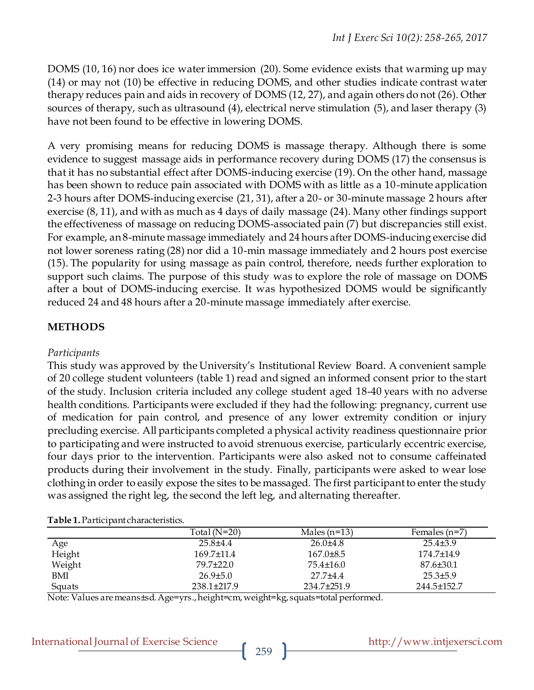DOMS (10, 16) nor does ice water immersion (20). Some evidence exists that warming up may (14) or may not (10) be effective in reducing DOMS, and other studies indicate contrast water therapy reduces pain and aids in recovery of DOMS (12, 27), and again others do not (26). Other sources of therapy, such as ultrasound (4), electrical nerve stimulation (5), and laser therapy (3) have not been found to be effective in lowering DOMS.

A very promising means for reducing DOMS is massage therapy. Although there is some evidence to suggest massage aids in performance recovery during DOMS (17) the consensus is that it has no substantial effect after DOMS-inducing exercise (19). On the other hand, massage has been shown to reduce pain associated with DOMS with as little as a 10-minute application 2-3 hours after DOMS-inducing exercise (21, 31), after a 20- or 30-minute massage 2 hours after exercise (8, 11), and with as much as 4 days of daily massage (24). Many other findings support the effectiveness of massage on reducing DOMS-associated pain (7) but discrepancies still exist. For example, an 8-minute massage immediately and 24 hours after DOMS-inducing exercise did not lower soreness rating (28) nor did a 10-min massage immediately and 2 hours post exercise (15). The popularity for using massage as pain control, therefore, needs further exploration to support such claims. The purpose of this study was to explore the role of massage on DOMS after a bout of DOMS-inducing exercise. It was hypothesized DOMS would be significantly reduced 24 and 48 hours after a 20-minute massage immediately after exercise.

### **METHODS**

#### *Participants*

This study was approved by the University's Institutional Review Board. A convenient sample of 20 college student volunteers (table 1) read and signed an informed consent prior to the start of the study. Inclusion criteria included any college student aged 18-40 years with no adverse health conditions. Participants were excluded if they had the following: pregnancy, current use of medication for pain control, and presence of any lower extremity condition or injury precluding exercise. All participants completed a physical activity readiness questionnaire prior to participating and were instructed to avoid strenuous exercise, particularly eccentric exercise, four days prior to the intervention. Participants were also asked not to consume caffeinated products during their involvement in the study. Finally, participants were asked to wear lose clothing in order to easily expose the sites to be massaged. The first participant to enter the study was assigned the right leg, the second the left leg, and alternating thereafter.

#### **Table 1.**Participant characteristics.

|        | Total $(N=20)$    | Males $(n=13)$ | Females $(n=7)$  |
|--------|-------------------|----------------|------------------|
| Age    | $25.8{\pm}4.4$    | $26.0\pm4.8$   | $25.4\pm3.9$     |
| Height | $169.7 \pm 11.4$  | $167.0\pm8.5$  | $174.7 \pm 14.9$ |
| Weight | 79.7±22.0         | 75.4±16.0      | 87.6±30.1        |
| BMI    | $26.9 \pm 5.0$    | 27.7±4.4       | $25.3 \pm 5.9$   |
| Squats | $238.1 \pm 217.9$ | 234.7±251.9    | 244.5±152.7      |

Note: Values are means±sd. Age=yrs., height=cm, weight=kg, squats=total performed.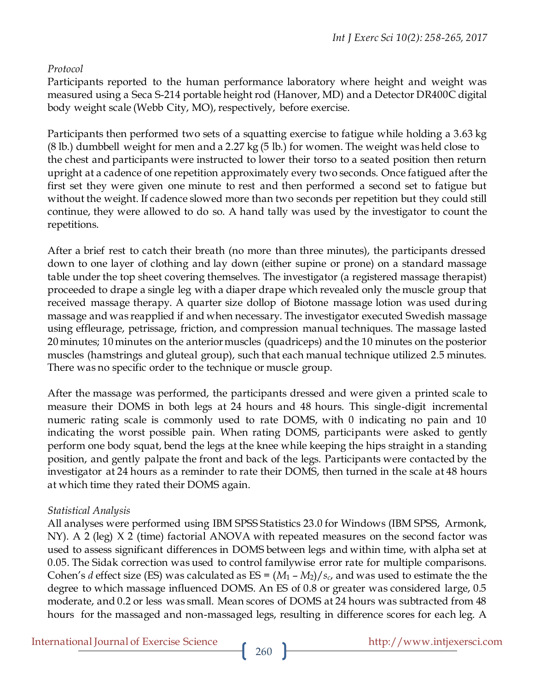# *Protocol*

Participants reported to the human performance laboratory where height and weight was measured using a Seca S-214 portable height rod (Hanover, MD) and a Detector DR400C digital body weight scale (Webb City, MO), respectively, before exercise.

Participants then performed two sets of a squatting exercise to fatigue while holding a 3.63 kg (8 lb.) dumbbell weight for men and a 2.27 kg (5 lb.) for women. The weight was held close to the chest and participants were instructed to lower their torso to a seated position then return upright at a cadence of one repetition approximately every two seconds. Once fatigued after the first set they were given one minute to rest and then performed a second set to fatigue but without the weight. If cadence slowed more than two seconds per repetition but they could still continue, they were allowed to do so. A hand tally was used by the investigator to count the repetitions.

After a brief rest to catch their breath (no more than three minutes), the participants dressed down to one layer of clothing and lay down (either supine or prone) on a standard massage table under the top sheet covering themselves. The investigator (a registered massage therapist) proceeded to drape a single leg with a diaper drape which revealed only the muscle group that received massage therapy. A quarter size dollop of Biotone massage lotion was used during massage and was reapplied if and when necessary. The investigator executed Swedish massage using effleurage, petrissage, friction, and compression manual techniques. The massage lasted 20 minutes; 10 minutes on the anterior muscles (quadriceps) and the 10 minutes on the posterior muscles (hamstrings and gluteal group), such that each manual technique utilized 2.5 minutes. There was no specific order to the technique or muscle group.

After the massage was performed, the participants dressed and were given a printed scale to measure their DOMS in both legs at 24 hours and 48 hours. This single-digit incremental numeric rating scale is commonly used to rate DOMS, with 0 indicating no pain and 10 indicating the worst possible pain. When rating DOMS, participants were asked to gently perform one body squat, bend the legs at the knee while keeping the hips straight in a standing position, and gently palpate the front and back of the legs. Participants were contacted by the investigator at 24 hours as a reminder to rate their DOMS, then turned in the scale at 48 hours at which time they rated their DOMS again.

# *Statistical Analysis*

All analyses were performed using IBM SPSS Statistics 23.0 for Windows (IBM SPSS, Armonk, NY). A 2 (leg) X 2 (time) factorial ANOVA with repeated measures on the second factor was used to assess significant differences in DOMS between legs and within time, with alpha set at 0.05. The Sidak correction was used to control familywise error rate for multiple comparisons. Cohen's *d* effect size (ES) was calculated as  $ES = (M_1 - M_2)/s_c$ , and was used to estimate the the degree to which massage influenced DOMS. An ES of 0.8 or greater was considered large, 0.5 moderate, and 0.2 or less was small. Mean scores of DOMS at 24 hours was subtracted from 48 hours for the massaged and non-massaged legs, resulting in difference scores for each leg. A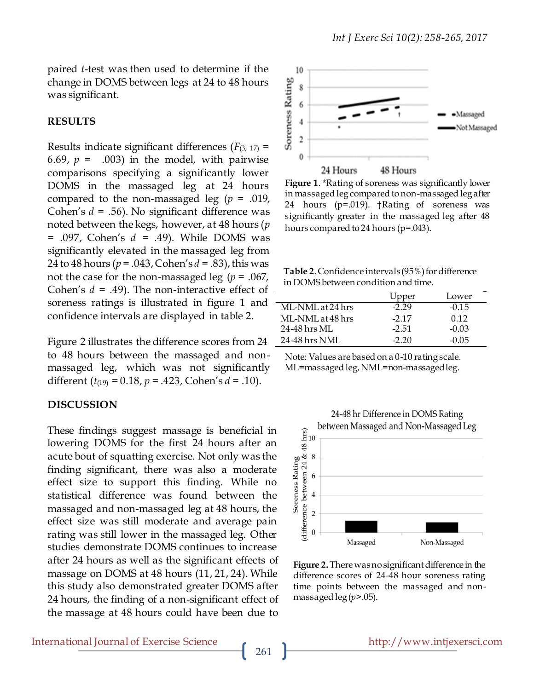paired *t*-test was then used to determine if the change in DOMS between legs at 24 to 48 hours was significant.

#### **RESULTS**

Results indicate significant differences  $(F_{(3, 17)} =$ 6.69,  $p = .003$ ) in the model, with pairwise comparisons specifying a significantly lower DOMS in the massaged leg at 24 hours compared to the non-massaged leg (*p* = .019, Cohen's *d* = .56). No significant difference was noted between the kegs, however, at 48 hours (*p* = .097, Cohen's *d* = .49). While DOMS was significantly elevated in the massaged leg from 24 to 48 hours (*p* = .043, Cohen's *d* = .83), this was not the case for the non-massaged leg (*p* = .067, Cohen's *d* = .49). The non-interactive effect of soreness ratings is illustrated in figure 1 and confidence intervals are displayed in table 2.

Figure 2 illustrates the difference scores from 24 to 48 hours between the massaged and nonmassaged leg, which was not significantly different  $(t_{(19)} = 0.18, p = .423, \text{Cohen's } d = .10).$ 

#### **DISCUSSION**

These findings suggest massage is beneficial in lowering DOMS for the first 24 hours after an acute bout of squatting exercise. Not only was the finding significant, there was also a moderate effect size to support this finding. While no statistical difference was found between the massaged and non-massaged leg at 48 hours, the effect size was still moderate and average pain rating was still lower in the massaged leg. Other studies demonstrate DOMS continues to increase after 24 hours as well as the significant effects of massage on DOMS at 48 hours (11, 21, 24). While this study also demonstrated greater DOMS after 24 hours, the finding of a non-significant effect of the massage at 48 hours could have been due to



**Figure 1**. \*Rating of soreness was significantly lower in massaged leg compared to non-massaged leg after 24 hours (p=.019). †Rating of soreness was significantly greater in the massaged leg after 48 hours compared to 24 hours (p=.043).

**Table 2**. Confidence intervals (95%) for difference in DOMS between condition and time.

|                  | Upper   | Lower   |
|------------------|---------|---------|
| ML-NML at 24 hrs | $-2.29$ | $-0.15$ |
| ML-NML at 48 hrs | $-2.17$ | 0.12    |
| 24-48 hrs ML     | $-2.51$ | $-0.03$ |
| 24-48 hrs NML    | -2.20   | -0.05   |

Note: Values are based on a 0-10 rating scale. ML=massaged leg, NML=non-massaged leg.

24-48 hr Difference in DOMS Rating between Massaged and Non-Massaged Leg Soreness Rating<br>(difference between 24 & 48 hrs)<br> $\frac{1}{6}$ <br> $\frac{1}{6}$ 

Massaged Non-Massaged **Figure 2.**There was no significant difference in the difference scores of 24-48 hour soreness rating time points between the massaged and nonmassaged  $\log (p > .05)$ .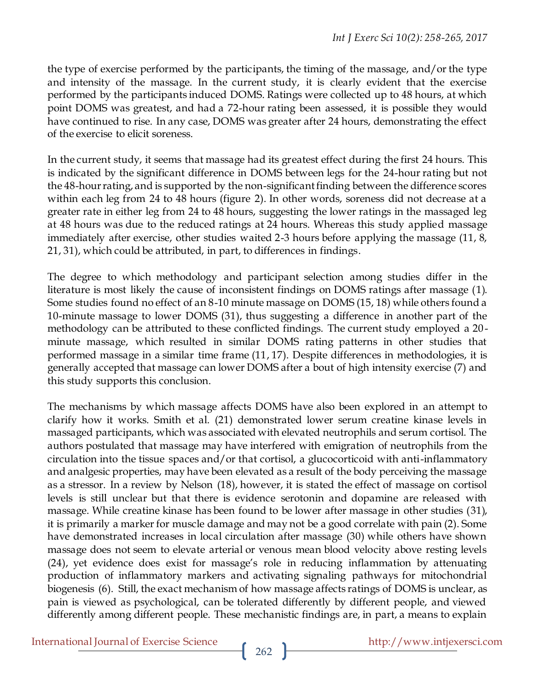the type of exercise performed by the participants, the timing of the massage, and/or the type and intensity of the massage. In the current study, it is clearly evident that the exercise performed by the participants induced DOMS. Ratings were collected up to 48 hours, at which point DOMS was greatest, and had a 72-hour rating been assessed, it is possible they would have continued to rise. In any case, DOMS was greater after 24 hours, demonstrating the effect of the exercise to elicit soreness.

In the current study, it seems that massage had its greatest effect during the first 24 hours. This is indicated by the significant difference in DOMS between legs for the 24-hour rating but not the 48-hour rating, and is supported by the non-significant finding between the difference scores within each leg from 24 to 48 hours (figure 2). In other words, soreness did not decrease at a greater rate in either leg from 24 to 48 hours, suggesting the lower ratings in the massaged leg at 48 hours was due to the reduced ratings at 24 hours. Whereas this study applied massage immediately after exercise, other studies waited 2-3 hours before applying the massage (11, 8, 21, 31), which could be attributed, in part, to differences in findings.

The degree to which methodology and participant selection among studies differ in the literature is most likely the cause of inconsistent findings on DOMS ratings after massage (1). Some studies found no effect of an 8-10 minute massage on DOMS (15, 18) while others found a 10-minute massage to lower DOMS (31), thus suggesting a difference in another part of the methodology can be attributed to these conflicted findings. The current study employed a 20 minute massage, which resulted in similar DOMS rating patterns in other studies that performed massage in a similar time frame (11, 17). Despite differences in methodologies, it is generally accepted that massage can lower DOMS after a bout of high intensity exercise (7) and this study supports this conclusion.

The mechanisms by which massage affects DOMS have also been explored in an attempt to clarify how it works. Smith et al. (21) demonstrated lower serum creatine kinase levels in massaged participants, which was associated with elevated neutrophils and serum cortisol. The authors postulated that massage may have interfered with emigration of neutrophils from the circulation into the tissue spaces and/or that cortisol, a glucocorticoid with anti-inflammatory and analgesic properties, may have been elevated as a result of the body perceiving the massage as a stressor. In a review by Nelson (18), however, it is stated the effect of massage on cortisol levels is still unclear but that there is evidence serotonin and dopamine are released with massage. While creatine kinase has been found to be lower after massage in other studies (31), it is primarily a marker for muscle damage and may not be a good correlate with pain (2). Some have demonstrated increases in local circulation after massage (30) while others have shown massage does not seem to elevate arterial or venous mean blood velocity above resting levels (24), yet evidence does exist for massage's role in reducing inflammation by attenuating production of inflammatory markers and activating signaling pathways for mitochondrial biogenesis (6). Still, the exact mechanism of how massage affects ratings of DOMS is unclear, as pain is viewed as psychological, can be tolerated differently by different people, and viewed differently among different people. These mechanistic findings are, in part, a means to explain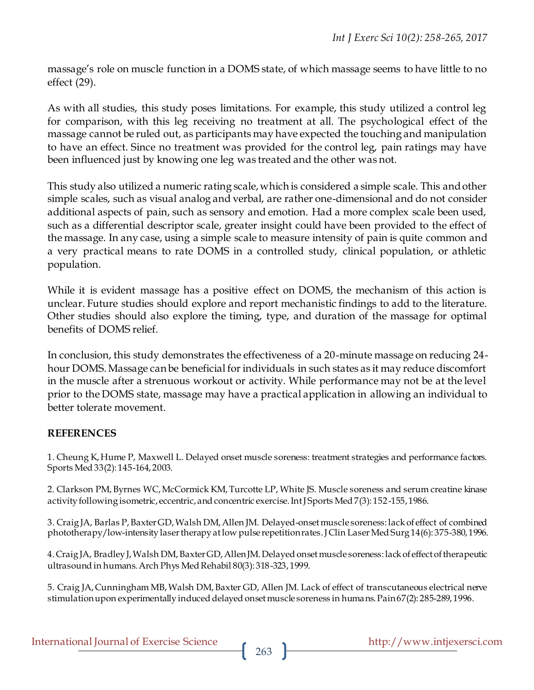massage's role on muscle function in a DOMS state, of which massage seems to have little to no effect (29).

As with all studies, this study poses limitations. For example, this study utilized a control leg for comparison, with this leg receiving no treatment at all. The psychological effect of the massage cannot be ruled out, as participants may have expected the touching and manipulation to have an effect. Since no treatment was provided for the control leg, pain ratings may have been influenced just by knowing one leg was treated and the other was not.

This study also utilized a numeric rating scale, which is considered a simple scale. This and other simple scales, such as visual analog and verbal, are rather one-dimensional and do not consider additional aspects of pain, such as sensory and emotion. Had a more complex scale been used, such as a differential descriptor scale, greater insight could have been provided to the effect of the massage. In any case, using a simple scale to measure intensity of pain is quite common and a very practical means to rate DOMS in a controlled study, clinical population, or athletic population.

While it is evident massage has a positive effect on DOMS, the mechanism of this action is unclear. Future studies should explore and report mechanistic findings to add to the literature. Other studies should also explore the timing, type, and duration of the massage for optimal benefits of DOMS relief.

In conclusion, this study demonstrates the effectiveness of a 20-minute massage on reducing 24 hour DOMS. Massage can be beneficial for individuals in such states as it may reduce discomfort in the muscle after a strenuous workout or activity. While performance may not be at the level prior to the DOMS state, massage may have a practical application in allowing an individual to better tolerate movement.

### **REFERENCES**

1. Cheung K, Hume P, Maxwell L. Delayed onset muscle soreness: treatment strategies and performance factors. Sports Med 33(2): 145-164, 2003.

2. Clarkson PM,Byrnes WC,McCormick KM,Turcotte LP, White JS. Muscle soreness and serum creatine kinase activity following isometric, eccentric, and concentric exercise. Int J Sports Med 7(3): 152-155, 1986.

3. Craig JA, Barlas P,Baxter GD,Walsh DM, Allen JM. Delayed-onset muscle soreness: lack of effect of combined phototherapy/low-intensity laser therapy at low pulse repetition rates. J Clin Laser Med Surg 14(6): 375-380, 1996.

4. Craig JA, Bradley J, Walsh DM, Baxter GD, Allen JM. Delayed onset muscle soreness: lack of effect of therapeutic ultrasound in humans. Arch Phys Med Rehabil 80(3): 318-323, 1999.

5. Craig JA, Cunningham MB, Walsh DM, Baxter GD, Allen JM. Lack of effect of transcutaneous electrical nerve stimulation upon experimentally induced delayed onset muscle soreness in humans. Pain 67(2): 285-289, 1996.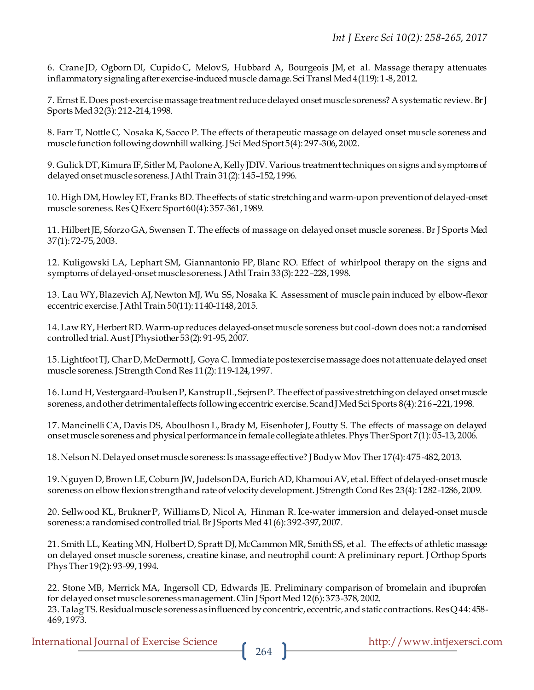6. Crane JD, Ogborn DI, Cupido C, MelovS, Hubbard A, Bourgeois JM, et al. Massage therapy attenuates inflammatory signaling after exercise-induced muscle damage. Sci Transl Med 4(119): 1-8, 2012.

7. Ernst E. Does post-exercise massage treatment reduce delayed onset muscle soreness? A systematic review. Br J Sports Med 32(3): 212-214, 1998.

8. Farr T, Nottle C, Nosaka K, Sacco P. The effects of therapeutic massage on delayed onset muscle soreness and muscle function following downhill walking. J Sci Med Sport 5(4): 297-306, 2002.

9. Gulick DT, Kimura IF, Sitler M, Paolone A, Kelly JDIV. Various treatment techniques on signs and symptoms of delayed onset muscle soreness. J Athl Train 31(2): 145–152, 1996.

10. High DM, Howley ET, Franks BD. The effects of static stretching and warm-up on prevention of delayed-onset muscle soreness. Res Q Exerc Sport 60(4): 357-361, 1989.

11. HilbertJE, Sforzo GA, Swensen T. The effects of massage on delayed onset muscle soreness. Br J Sports Med 37(1): 72-75, 2003.

12. Kuligowski LA, Lephart SM, Giannantonio FP, Blanc RO. Effect of whirlpool therapy on the signs and symptoms of delayed-onset muscle soreness. J Athl Train 33(3): 222–228, 1998.

13. Lau WY,Blazevich AJ, Newton MJ, Wu SS, Nosaka K. Assessment of muscle pain induced by elbow-flexor eccentric exercise. J Athl Train 50(11): 1140-1148, 2015.

14. Law RY, Herbert RD. Warm-up reduces delayed-onset muscle soreness but cool-down does not: a randomised controlled trial. Aust J Physiother 53(2): 91-95, 2007.

15. Lightfoot TJ, Char D, McDermott J, Goya C. Immediate postexercise massage does not attenuate delayed onset muscle soreness. J Strength Cond Res 11(2): 119-124, 1997.

16. Lund H, Vestergaard-PoulsenP, Kanstrup IL, Sejrsen P. The effect of passive stretching on delayed onset muscle soreness, and other detrimental effects following eccentric exercise. Scand J Med Sci Sports 8(4): 216–221, 1998.

17. Mancinelli CA, Davis DS, Aboulhosn L,Brady M, EisenhoferJ, Foutty S. The effects of massage on delayed onset muscle soreness and physical performance in female collegiate athletes. Phys Ther Sport 7(1): 05-13, 2006.

18. Nelson N. Delayed onset muscle soreness: Is massage effective? J Bodyw Mov Ther 17(4): 475-482, 2013.

19. Nguyen D,Brown LE, Coburn JW,Judelson DA,Eurich AD, Khamoui AV, et al. Effect of delayed-onset muscle soreness on elbow flexion strength and rate of velocity development. J Strength Cond Res 23(4): 1282-1286, 2009.

20. Sellwood KL, Brukner P, WilliamsD, Nicol A, Hinman R. Ice-water immersion and delayed-onset muscle soreness: a randomised controlled trial. Br J Sports Med 41(6): 392-397, 2007.

21. Smith LL, KeatingMN, HolbertD, Spratt DJ,McCammon MR, Smith SS, et al. The effects of athletic massage on delayed onset muscle soreness, creatine kinase, and neutrophil count: A preliminary report. J Orthop Sports Phys Ther 19(2): 93-99, 1994.

22. Stone MB, Merrick MA, Ingersoll CD, Edwards JE. Preliminary comparison of bromelain and ibuprofen for delayed onset muscle soreness management. Clin J Sport Med 12(6): 373-378, 2002. 23. Talag TS. Residual muscle soreness as influenced by concentric, eccentric, and static contractions. Res Q 44: 458- 469, 1973.

International Journal of Exercise Science http://www.intjexersci.com